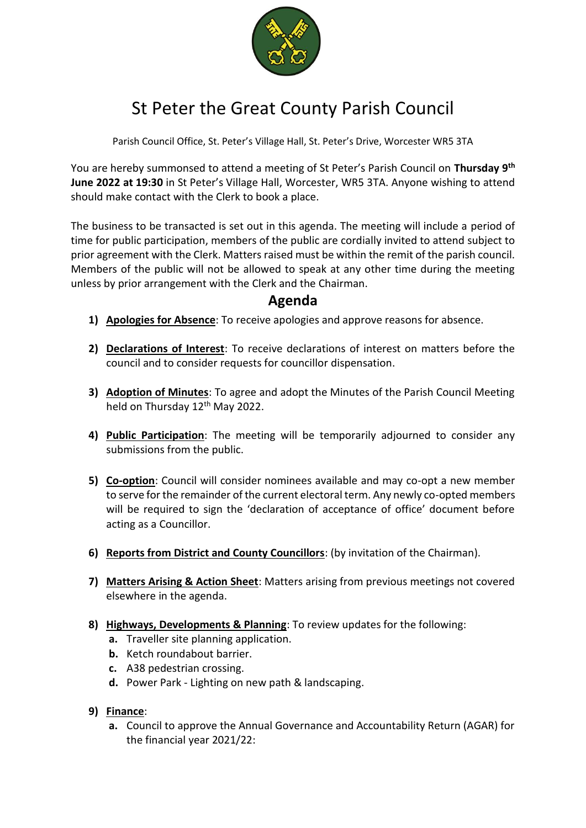

## St Peter the Great County Parish Council

Parish Council Office, St. Peter's Village Hall, St. Peter's Drive, Worcester WR5 3TA

You are hereby summonsed to attend a meeting of St Peter's Parish Council on **Thursday 9 th June 2022 at 19:30** in St Peter's Village Hall, Worcester, WR5 3TA. Anyone wishing to attend should make contact with the Clerk to book a place.

The business to be transacted is set out in this agenda. The meeting will include a period of time for public participation, members of the public are cordially invited to attend subject to prior agreement with the Clerk. Matters raised must be within the remit of the parish council. Members of the public will not be allowed to speak at any other time during the meeting unless by prior arrangement with the Clerk and the Chairman.

## **Agenda**

- **1) Apologies for Absence**: To receive apologies and approve reasons for absence.
- **2) Declarations of Interest**: To receive declarations of interest on matters before the council and to consider requests for councillor dispensation.
- **3) Adoption of Minutes**: To agree and adopt the Minutes of the Parish Council Meeting held on Thursday 12<sup>th</sup> May 2022.
- **4) Public Participation**: The meeting will be temporarily adjourned to consider any submissions from the public.
- **5) Co-option**: Council will consider nominees available and may co-opt a new member to serve for the remainder of the current electoral term. Any newly co-opted members will be required to sign the 'declaration of acceptance of office' document before acting as a Councillor.
- **6) Reports from District and County Councillors**: (by invitation of the Chairman).
- **7) Matters Arising & Action Sheet**: Matters arising from previous meetings not covered elsewhere in the agenda.
- **8) Highways, Developments & Planning**: To review updates for the following:
	- **a.** Traveller site planning application.
	- **b.** Ketch roundabout barrier.
	- **c.** A38 pedestrian crossing.
	- **d.** Power Park Lighting on new path & landscaping.
- **9) Finance**:
	- **a.** Council to approve the Annual Governance and Accountability Return (AGAR) for the financial year 2021/22: